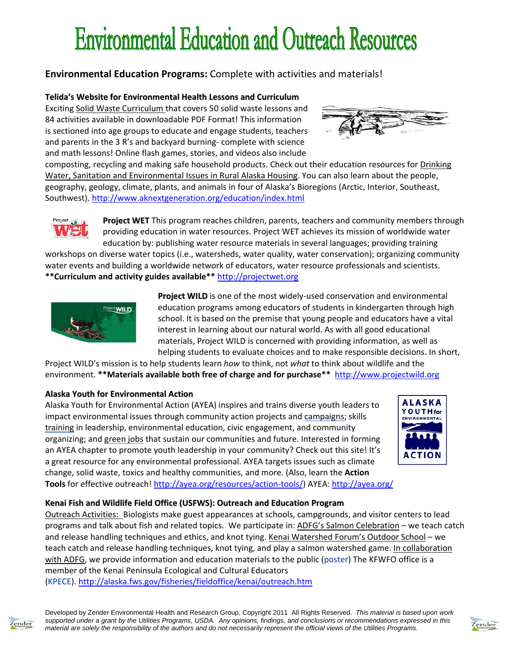# **Environmental Education and Outreach Resources**

# **Environmental Education Programs:** Complete with activities and materials!

## **Telida's Website for Environmental Health Lessons and Curriculum**

Exciting Solid Waste Curriculum that covers 50 solid waste lessons and 84 activities available in downloadable PDF Format! This information is sectioned into age groups to educate and engage students, teachers and parents in the 3 R's and backyard burning‐ complete with science and math lessons! Online flash games, stories, and videos also include



composting, recycling and making safe household products. Check out their education resources for Drinking Water, Sanitation and Environmental Issues in Rural Alaska Housing. You can also learn about the people, geography, geology, climate, plants, and animals in four of Alaska's Bioregions (Arctic, Interior, Southeast, Southwest). http://www.aknextgeneration.org/education/index.html

> **Project WET** This program reaches children, parents, teachers and community members through providing education in water resources. Project WET achieves its mission of worldwide water education by: publishing water resource materials in several languages; providing training

workshops on diverse water topics (i.e., watersheds, water quality, water conservation); organizing community water events and building a worldwide network of educators, water resource professionals and scientists. **\*\*Curriculum and activity guides available\*\*** http://projectwet.org



**Project WILD** is one of the most widely‐used conservation and environmental education programs among educators of students in kindergarten through high school. It is based on the premise that young people and educators have a vital interest in learning about our natural world. As with all good educational materials, Project WILD is concerned with providing information, as well as helping students to evaluate choices and to make responsible decisions. In short,

Project WILD's mission is to help students learn *how* to think, not *what* to think about wildlife and the environment. **\*\*Materials available both free of charge and for purchase\*\*** http://www.projectwild.org

## **Alaska Youth for Environmental Action**

Alaska Youth for Environmental Action (AYEA) inspires and trains diverse youth leaders to impact environmental issues through community action projects and campaigns; skills training in leadership, environmental education, civic engagement, and community organizing; and green jobs that sustain our communities and future. Interested in forming an AYEA chapter to promote youth leadership in your community? Check out this site! It's a great resource for any environmental professional. AYEA targets issues such as climate change, solid waste, toxics and healthy communities, and more. (Also, learn the **Action Tools** for effective outreach! http://ayea.org/resources/action‐tools/) AYEA: http://ayea.org/



## **Kenai Fish and Wildlife Field Office (USFWS): Outreach and Education Program**

Outreach Activities: Biologists make guest appearances at schools, campgrounds, and visitor centers to lead programs and talk about fish and related topics. We participate in: ADFG's Salmon Celebration – we teach catch and release handling techniques and ethics, and knot tying. Kenai Watershed Forum's Outdoor School – we teach catch and release handling techniques, knot tying, and play a salmon watershed game. In collaboration with ADFG, we provide information and education materials to the public (poster) The KFWFO office is a member of the Kenai Peninsula Ecological and Cultural Educators (KPECE). http://alaska.fws.gov/fisheries/fieldoffice/kenai/outreach.htm

ender

Developed by Zender Environmental Health and Research Group, Copyright 2011 All Rights Reserved. *This material is based upon work supported under a grant by the Utilities Programs, USDA. Any opinions, findings, and conclusions or recommendations expressed in this material are solely the responsibility of the authors and do not necessarily represent the official views of the Utilities Programs.*

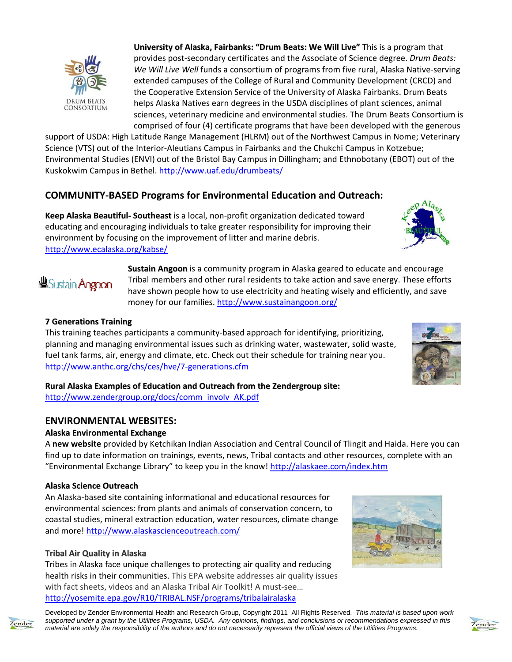

**University of Alaska, Fairbanks: "Drum Beats: We Will Live"** This is a program that provides post‐secondary certificates and the Associate of Science degree. *Drum Beats: We Will Live Well* funds a consortium of programs from five rural, Alaska Native‐serving extended campuses of the College of Rural and Community Development (CRCD) and the Cooperative Extension Service of the University of Alaska Fairbanks. Drum Beats helps Alaska Natives earn degrees in the USDA disciplines of plant sciences, animal sciences, veterinary medicine and environmental studies. The Drum Beats Consortium is comprised of four (4) certificate programs that have been developed with the generous

support of USDA: High Latitude Range Management (HLRM) out of the Northwest Campus in Nome; Veterinary Science (VTS) out of the Interior‐Aleutians Campus in Fairbanks and the Chukchi Campus in Kotzebue; Environmental Studies (ENVI) out of the Bristol Bay Campus in Dillingham; and Ethnobotany (EBOT) out of the Kuskokwim Campus in Bethel. http://www.uaf.edu/drumbeats/

# **COMMUNITY‐BASED Programs for Environmental Education and Outreach:**

**Keep Alaska Beautiful‐ Southeast** is a local, non‐profit organization dedicated toward educating and encouraging individuals to take greater responsibility for improving their environment by focusing on the improvement of litter and marine debris. http://www.ecalaska.org/kabse/

> **Sustain Angoon** is a community program in Alaska geared to educate and encourage Tribal members and other rural residents to take action and save energy. These efforts have shown people how to use electricity and heating wisely and efficiently, and save money for our families. http://www.sustainangoon.org/

## **7 Generations Training**

**<sup>幽Sustain Angoon**</sup>

This training teaches participants a community‐based approach for identifying, prioritizing, planning and managing environmental issues such as drinking water, wastewater, solid waste, fuel tank farms, air, energy and climate, etc. Check out their schedule for training near you. http://www.anthc.org/chs/ces/hve/7‐generations.cfm



**Rural Alaska Examples of Education and Outreach from the Zendergroup site:**

http://www.zendergroup.org/docs/comm\_involv\_AK.pdf

## **ENVIRONMENTAL WEBSITES:**

## **Alaska Environmental Exchange**

A **new website** provided by Ketchikan Indian Association and Central Council of Tlingit and Haida. Here you can find up to date information on trainings, events, news, Tribal contacts and other resources, complete with an "Environmental Exchange Library" to keep you in the know! http://alaskaee.com/index.htm

#### **Alaska Science Outreach**

An Alaska‐based site containing informational and educational resources for environmental sciences: from plants and animals of conservation concern, to coastal studies, mineral extraction education, water resources, climate change and more! http://www.alaskascienceoutreach.com/

## **Tribal Air Quality in Alaska**

Tribes in Alaska face unique challenges to protecting air quality and reducing health risks in their communities. This EPA website addresses air quality issues with fact sheets, videos and an Alaska Tribal Air Toolkit! A must‐see… http://yosemite.epa.gov/R10/TRIBAL.NSF/programs/tribalairalaska



Developed by Zender Environmental Health and Research Group, Copyright 2011 All Rights Reserved. *This material is based upon work supported under a grant by the Utilities Programs, USDA. Any opinions, findings, and conclusions or recommendations expressed in this material are solely the responsibility of the authors and do not necessarily represent the official views of the Utilities Programs.*